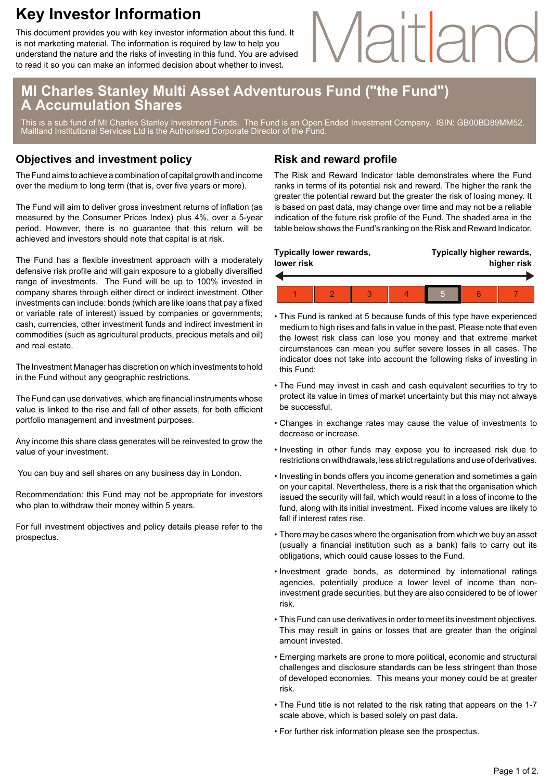## **Key Investor Information**

This document provides you with key investor information about this fund. It is not marketing material. The information is required by law to help you understand the nature and the risks of investing in this fund. You are advised to read it so you can make an informed decision about whether to invest.

# Maitlan

### **MI Charles Stanley Multi Asset Adventurous Fund ("the Fund") A Accumulation Shares**

This is a sub fund of MI Charles Stanley Investment Funds. The Fund is an Open Ended Investment Company. ISIN: GB00BD89MM52. Maitland Institutional Services Ltd is the Authorised Corporate Director of the Fund.

#### **Objectives and investment policy**

The Fund aims to achieve a combination of capital growth and income over the medium to long term (that is, over five years or more).

The Fund will aim to deliver gross investment returns of inflation (as measured by the Consumer Prices Index) plus 4%, over a 5-year period. However, there is no guarantee that this return will be achieved and investors should note that capital is at risk.

The Fund has a flexible investment approach with a moderately defensive risk profile and will gain exposure to a globally diversified range of investments. The Fund will be up to 100% invested in company shares through either direct or indirect investment. Other investments can include: bonds (which are like loans that pay a fixed or variable rate of interest) issued by companies or governments; cash, currencies, other investment funds and indirect investment in commodities (such as agricultural products, precious metals and oil) and real estate.

The Investment Manager has discretion on which investments to hold in the Fund without any geographic restrictions.

The Fund can use derivatives, which are financial instruments whose value is linked to the rise and fall of other assets, for both efficient portfolio management and investment purposes.

Any income this share class generates will be reinvested to grow the value of your investment.

You can buy and sell shares on any business day in London.

Recommendation: this Fund may not be appropriate for investors who plan to withdraw their money within 5 years.

For full investment objectives and policy details please refer to the prospectus.

#### **Risk and reward profile**

The Risk and Reward Indicator table demonstrates where the Fund ranks in terms of its potential risk and reward. The higher the rank the greater the potential reward but the greater the risk of losing money. It is based on past data, may change over time and may not be a reliable indication of the future risk profile of the Fund. The shaded area in the table below shows the Fund's ranking on the Risk and Reward Indicator.

| <b>Typically lower rewards,</b><br>lower risk |  |  |  |  | Typically higher rewards,<br>higher risk |  |  |
|-----------------------------------------------|--|--|--|--|------------------------------------------|--|--|
|                                               |  |  |  |  |                                          |  |  |
|                                               |  |  |  |  |                                          |  |  |

- This Fund is ranked at 5 because funds of this type have experienced medium to high rises and falls in value in the past. Please note that even the lowest risk class can lose you money and that extreme market circumstances can mean you suffer severe losses in all cases. The indicator does not take into account the following risks of investing in this Fund:
- The Fund may invest in cash and cash equivalent securities to try to protect its value in times of market uncertainty but this may not always be successful.
- Changes in exchange rates may cause the value of investments to decrease or increase.
- Investing in other funds may expose you to increased risk due to restrictions on withdrawals, less strict regulations and use of derivatives.
- Investing in bonds offers you income generation and sometimes a gain on your capital. Nevertheless, there is a risk that the organisation which issued the security will fail, which would result in a loss of income to the fund, along with its initial investment. Fixed income values are likely to fall if interest rates rise.
- There may be cases where the organisation from which we buy an asset (usually a financial institution such as a bank) fails to carry out its obligations, which could cause losses to the Fund.
- Investment grade bonds, as determined by international ratings agencies, potentially produce a lower level of income than noninvestment grade securities, but they are also considered to be of lower risk.
- This Fund can use derivatives in order to meet its investment objectives. This may result in gains or losses that are greater than the original amount invested.
- Emerging markets are prone to more political, economic and structural challenges and disclosure standards can be less stringent than those of developed economies. This means your money could be at greater risk.
- The Fund title is not related to the risk rating that appears on the 1-7 scale above, which is based solely on past data.
- For further risk information please see the prospectus.